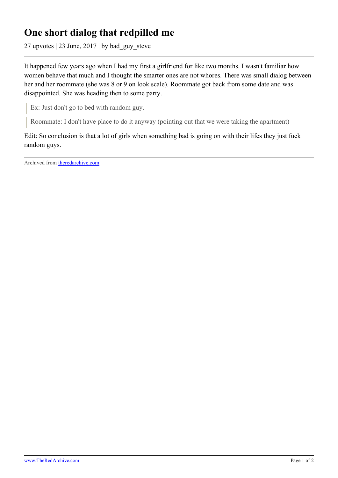## **One short dialog that redpilled me**

27 upvotes | 23 June, 2017 | by bad\_guy\_steve

It happened few years ago when I had my first a girlfriend for like two months. I wasn't familiar how women behave that much and I thought the smarter ones are not whores. There was small dialog between her and her roommate (she was 8 or 9 on look scale). Roommate got back from some date and was disappointed. She was heading then to some party.

Ex: Just don't go to bed with random guy.

Roommate: I don't have place to do it anyway (pointing out that we were taking the apartment)

Edit: So conclusion is that a lot of girls when something bad is going on with their lifes they just fuck random guys.

Archived from [theredarchive.com](https://theredarchive.com/r/MGTOW/one-short-dialog-that-redpilled-me.579184)